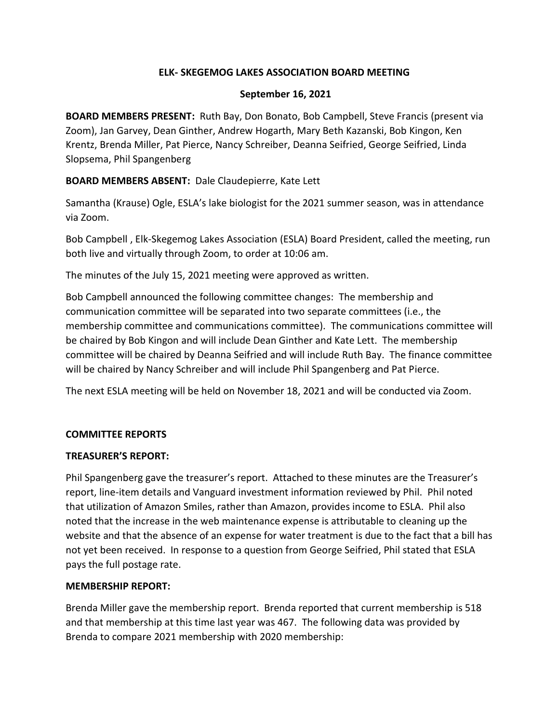## **ELK- SKEGEMOG LAKES ASSOCIATION BOARD MEETING**

### **September 16, 2021**

**BOARD MEMBERS PRESENT:** Ruth Bay, Don Bonato, Bob Campbell, Steve Francis (present via Zoom), Jan Garvey, Dean Ginther, Andrew Hogarth, Mary Beth Kazanski, Bob Kingon, Ken Krentz, Brenda Miller, Pat Pierce, Nancy Schreiber, Deanna Seifried, George Seifried, Linda Slopsema, Phil Spangenberg

## **BOARD MEMBERS ABSENT:** Dale Claudepierre, Kate Lett

Samantha (Krause) Ogle, ESLA's lake biologist for the 2021 summer season, was in attendance via Zoom.

Bob Campbell , Elk-Skegemog Lakes Association (ESLA) Board President, called the meeting, run both live and virtually through Zoom, to order at 10:06 am.

The minutes of the July 15, 2021 meeting were approved as written.

Bob Campbell announced the following committee changes: The membership and communication committee will be separated into two separate committees (i.e., the membership committee and communications committee). The communications committee will be chaired by Bob Kingon and will include Dean Ginther and Kate Lett. The membership committee will be chaired by Deanna Seifried and will include Ruth Bay. The finance committee will be chaired by Nancy Schreiber and will include Phil Spangenberg and Pat Pierce.

The next ESLA meeting will be held on November 18, 2021 and will be conducted via Zoom.

### **COMMITTEE REPORTS**

### **TREASURER'S REPORT:**

Phil Spangenberg gave the treasurer's report. Attached to these minutes are the Treasurer's report, line-item details and Vanguard investment information reviewed by Phil. Phil noted that utilization of Amazon Smiles, rather than Amazon, provides income to ESLA. Phil also noted that the increase in the web maintenance expense is attributable to cleaning up the website and that the absence of an expense for water treatment is due to the fact that a bill has not yet been received. In response to a question from George Seifried, Phil stated that ESLA pays the full postage rate.

### **MEMBERSHIP REPORT:**

Brenda Miller gave the membership report. Brenda reported that current membership is 518 and that membership at this time last year was 467. The following data was provided by Brenda to compare 2021 membership with 2020 membership: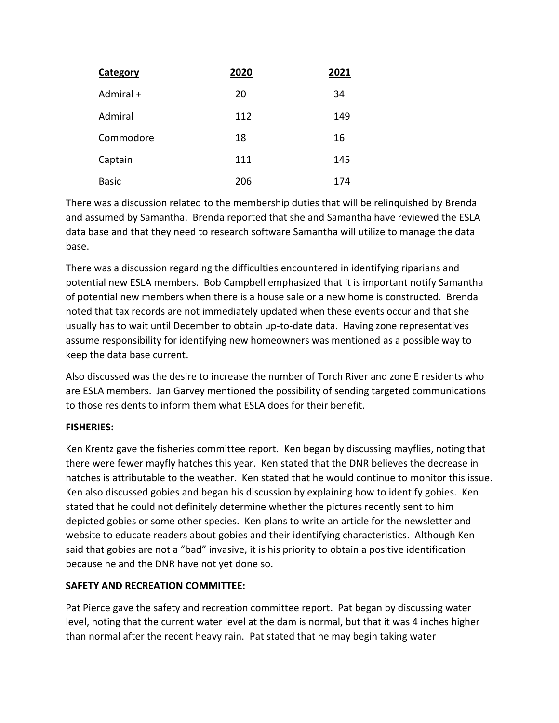| Category     | 2020 | 2021 |
|--------------|------|------|
| Admiral +    | 20   | 34   |
| Admiral      | 112  | 149  |
| Commodore    | 18   | 16   |
| Captain      | 111  | 145  |
| <b>Basic</b> | 206  | 174  |

There was a discussion related to the membership duties that will be relinquished by Brenda and assumed by Samantha. Brenda reported that she and Samantha have reviewed the ESLA data base and that they need to research software Samantha will utilize to manage the data base.

There was a discussion regarding the difficulties encountered in identifying riparians and potential new ESLA members. Bob Campbell emphasized that it is important notify Samantha of potential new members when there is a house sale or a new home is constructed. Brenda noted that tax records are not immediately updated when these events occur and that she usually has to wait until December to obtain up-to-date data. Having zone representatives assume responsibility for identifying new homeowners was mentioned as a possible way to keep the data base current.

Also discussed was the desire to increase the number of Torch River and zone E residents who are ESLA members. Jan Garvey mentioned the possibility of sending targeted communications to those residents to inform them what ESLA does for their benefit.

# **FISHERIES:**

Ken Krentz gave the fisheries committee report. Ken began by discussing mayflies, noting that there were fewer mayfly hatches this year. Ken stated that the DNR believes the decrease in hatches is attributable to the weather. Ken stated that he would continue to monitor this issue. Ken also discussed gobies and began his discussion by explaining how to identify gobies. Ken stated that he could not definitely determine whether the pictures recently sent to him depicted gobies or some other species. Ken plans to write an article for the newsletter and website to educate readers about gobies and their identifying characteristics. Although Ken said that gobies are not a "bad" invasive, it is his priority to obtain a positive identification because he and the DNR have not yet done so.

# **SAFETY AND RECREATION COMMITTEE:**

Pat Pierce gave the safety and recreation committee report. Pat began by discussing water level, noting that the current water level at the dam is normal, but that it was 4 inches higher than normal after the recent heavy rain. Pat stated that he may begin taking water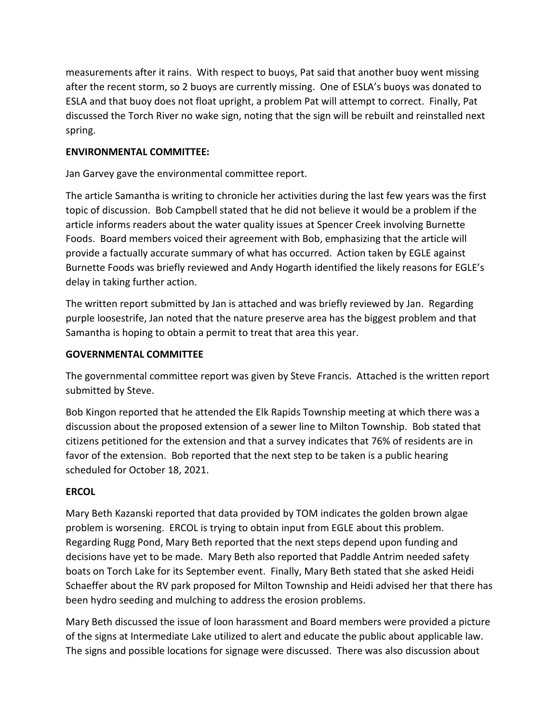measurements after it rains. With respect to buoys, Pat said that another buoy went missing after the recent storm, so 2 buoys are currently missing. One of ESLA's buoys was donated to ESLA and that buoy does not float upright, a problem Pat will attempt to correct. Finally, Pat discussed the Torch River no wake sign, noting that the sign will be rebuilt and reinstalled next spring.

## **ENVIRONMENTAL COMMITTEE:**

Jan Garvey gave the environmental committee report.

The article Samantha is writing to chronicle her activities during the last few years was the first topic of discussion. Bob Campbell stated that he did not believe it would be a problem if the article informs readers about the water quality issues at Spencer Creek involving Burnette Foods. Board members voiced their agreement with Bob, emphasizing that the article will provide a factually accurate summary of what has occurred. Action taken by EGLE against Burnette Foods was briefly reviewed and Andy Hogarth identified the likely reasons for EGLE's delay in taking further action.

The written report submitted by Jan is attached and was briefly reviewed by Jan. Regarding purple loosestrife, Jan noted that the nature preserve area has the biggest problem and that Samantha is hoping to obtain a permit to treat that area this year.

## **GOVERNMENTAL COMMITTEE**

The governmental committee report was given by Steve Francis. Attached is the written report submitted by Steve.

Bob Kingon reported that he attended the Elk Rapids Township meeting at which there was a discussion about the proposed extension of a sewer line to Milton Township. Bob stated that citizens petitioned for the extension and that a survey indicates that 76% of residents are in favor of the extension. Bob reported that the next step to be taken is a public hearing scheduled for October 18, 2021.

### **ERCOL**

Mary Beth Kazanski reported that data provided by TOM indicates the golden brown algae problem is worsening. ERCOL is trying to obtain input from EGLE about this problem. Regarding Rugg Pond, Mary Beth reported that the next steps depend upon funding and decisions have yet to be made. Mary Beth also reported that Paddle Antrim needed safety boats on Torch Lake for its September event. Finally, Mary Beth stated that she asked Heidi Schaeffer about the RV park proposed for Milton Township and Heidi advised her that there has been hydro seeding and mulching to address the erosion problems.

Mary Beth discussed the issue of loon harassment and Board members were provided a picture of the signs at Intermediate Lake utilized to alert and educate the public about applicable law. The signs and possible locations for signage were discussed. There was also discussion about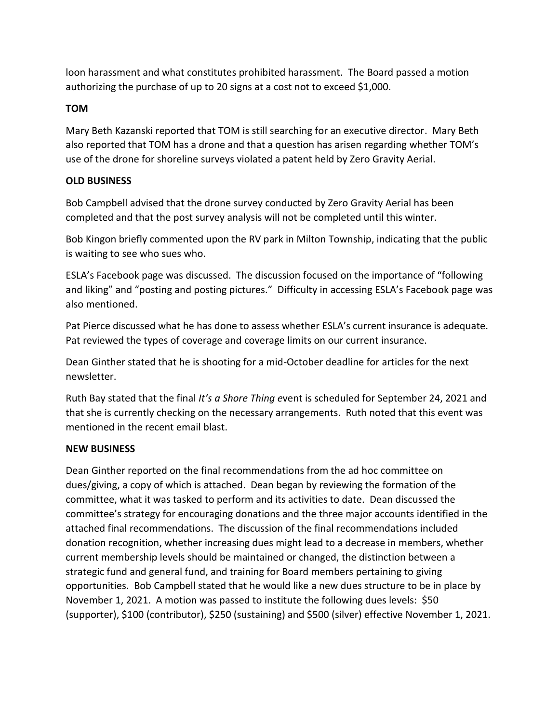loon harassment and what constitutes prohibited harassment. The Board passed a motion authorizing the purchase of up to 20 signs at a cost not to exceed \$1,000.

# **TOM**

Mary Beth Kazanski reported that TOM is still searching for an executive director. Mary Beth also reported that TOM has a drone and that a question has arisen regarding whether TOM's use of the drone for shoreline surveys violated a patent held by Zero Gravity Aerial.

### **OLD BUSINESS**

Bob Campbell advised that the drone survey conducted by Zero Gravity Aerial has been completed and that the post survey analysis will not be completed until this winter.

Bob Kingon briefly commented upon the RV park in Milton Township, indicating that the public is waiting to see who sues who.

ESLA's Facebook page was discussed. The discussion focused on the importance of "following and liking" and "posting and posting pictures." Difficulty in accessing ESLA's Facebook page was also mentioned.

Pat Pierce discussed what he has done to assess whether ESLA's current insurance is adequate. Pat reviewed the types of coverage and coverage limits on our current insurance.

Dean Ginther stated that he is shooting for a mid-October deadline for articles for the next newsletter.

Ruth Bay stated that the final *It's a Shore Thing e*vent is scheduled for September 24, 2021 and that she is currently checking on the necessary arrangements. Ruth noted that this event was mentioned in the recent email blast.

# **NEW BUSINESS**

Dean Ginther reported on the final recommendations from the ad hoc committee on dues/giving, a copy of which is attached. Dean began by reviewing the formation of the committee, what it was tasked to perform and its activities to date. Dean discussed the committee's strategy for encouraging donations and the three major accounts identified in the attached final recommendations. The discussion of the final recommendations included donation recognition, whether increasing dues might lead to a decrease in members, whether current membership levels should be maintained or changed, the distinction between a strategic fund and general fund, and training for Board members pertaining to giving opportunities. Bob Campbell stated that he would like a new dues structure to be in place by November 1, 2021. A motion was passed to institute the following dues levels: \$50 (supporter), \$100 (contributor), \$250 (sustaining) and \$500 (silver) effective November 1, 2021.